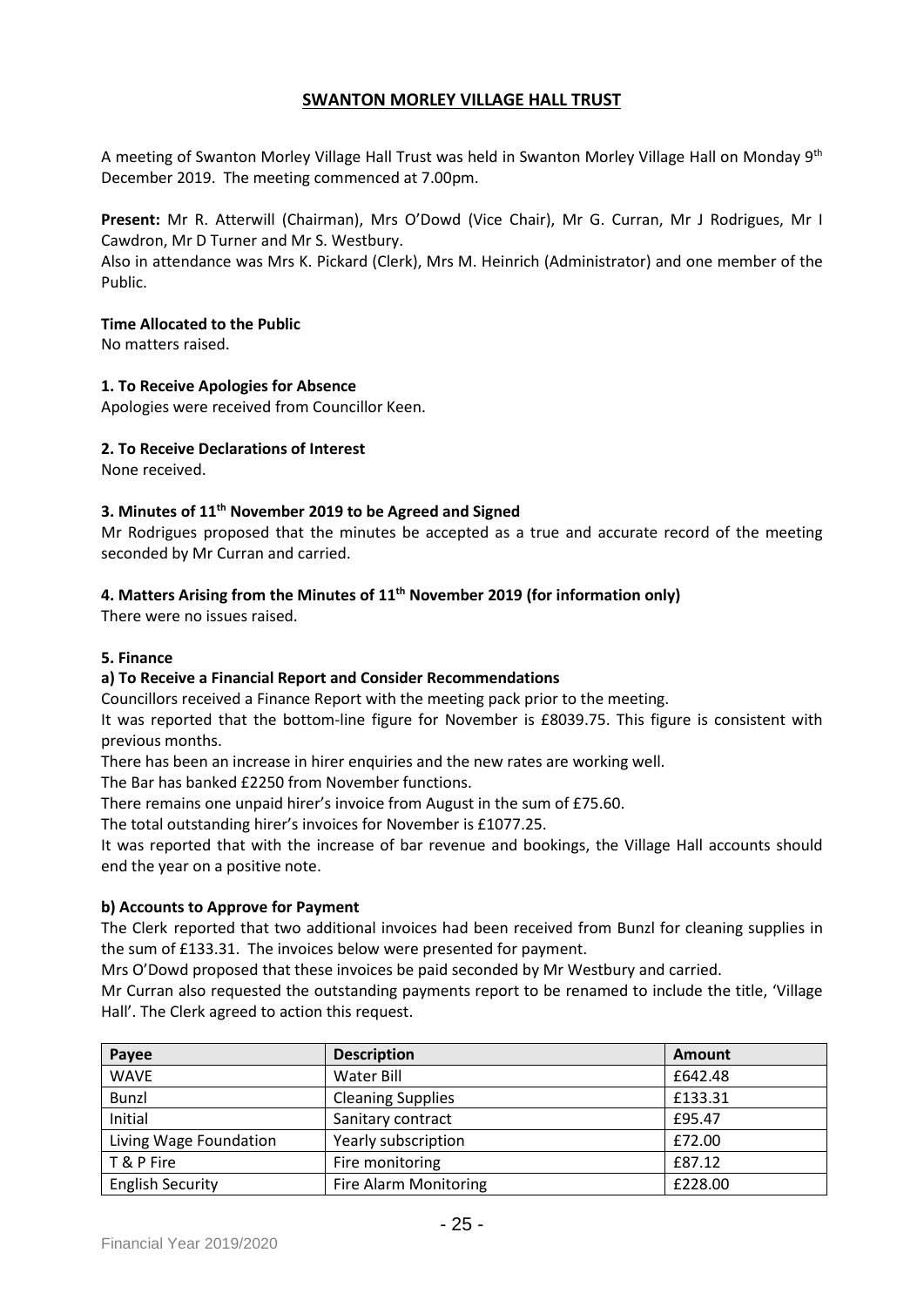# **SWANTON MORLEY VILLAGE HALL TRUST**

A meeting of Swanton Morley Village Hall Trust was held in Swanton Morley Village Hall on Monday 9<sup>th</sup> December 2019. The meeting commenced at 7.00pm.

**Present:** Mr R. Atterwill (Chairman), Mrs O'Dowd (Vice Chair), Mr G. Curran, Mr J Rodrigues, Mr I Cawdron, Mr D Turner and Mr S. Westbury.

Also in attendance was Mrs K. Pickard (Clerk), Mrs M. Heinrich (Administrator) and one member of the Public.

#### **Time Allocated to the Public**

No matters raised.

### **1. To Receive Apologies for Absence**

Apologies were received from Councillor Keen.

### **2. To Receive Declarations of Interest**

None received.

### **3. Minutes of 11 th November 2019 to be Agreed and Signed**

Mr Rodrigues proposed that the minutes be accepted as a true and accurate record of the meeting seconded by Mr Curran and carried.

### **4. Matters Arising from the Minutes of 11th November 2019 (for information only)**

There were no issues raised.

#### **5. Finance**

# **a) To Receive a Financial Report and Consider Recommendations**

Councillors received a Finance Report with the meeting pack prior to the meeting.

It was reported that the bottom-line figure for November is £8039.75. This figure is consistent with previous months.

There has been an increase in hirer enquiries and the new rates are working well.

The Bar has banked £2250 from November functions.

There remains one unpaid hirer's invoice from August in the sum of £75.60.

The total outstanding hirer's invoices for November is £1077.25.

It was reported that with the increase of bar revenue and bookings, the Village Hall accounts should end the year on a positive note.

#### **b) Accounts to Approve for Payment**

The Clerk reported that two additional invoices had been received from Bunzl for cleaning supplies in the sum of £133.31. The invoices below were presented for payment.

Mrs O'Dowd proposed that these invoices be paid seconded by Mr Westbury and carried.

Mr Curran also requested the outstanding payments report to be renamed to include the title, 'Village Hall'. The Clerk agreed to action this request.

| Payee                   | <b>Description</b>           | Amount  |
|-------------------------|------------------------------|---------|
| <b>WAVE</b>             | Water Bill                   | £642.48 |
| <b>Bunzl</b>            | <b>Cleaning Supplies</b>     | £133.31 |
| Initial                 | Sanitary contract            | £95.47  |
| Living Wage Foundation  | Yearly subscription          | £72.00  |
| T & P Fire              | Fire monitoring              | £87.12  |
| <b>English Security</b> | <b>Fire Alarm Monitoring</b> | £228.00 |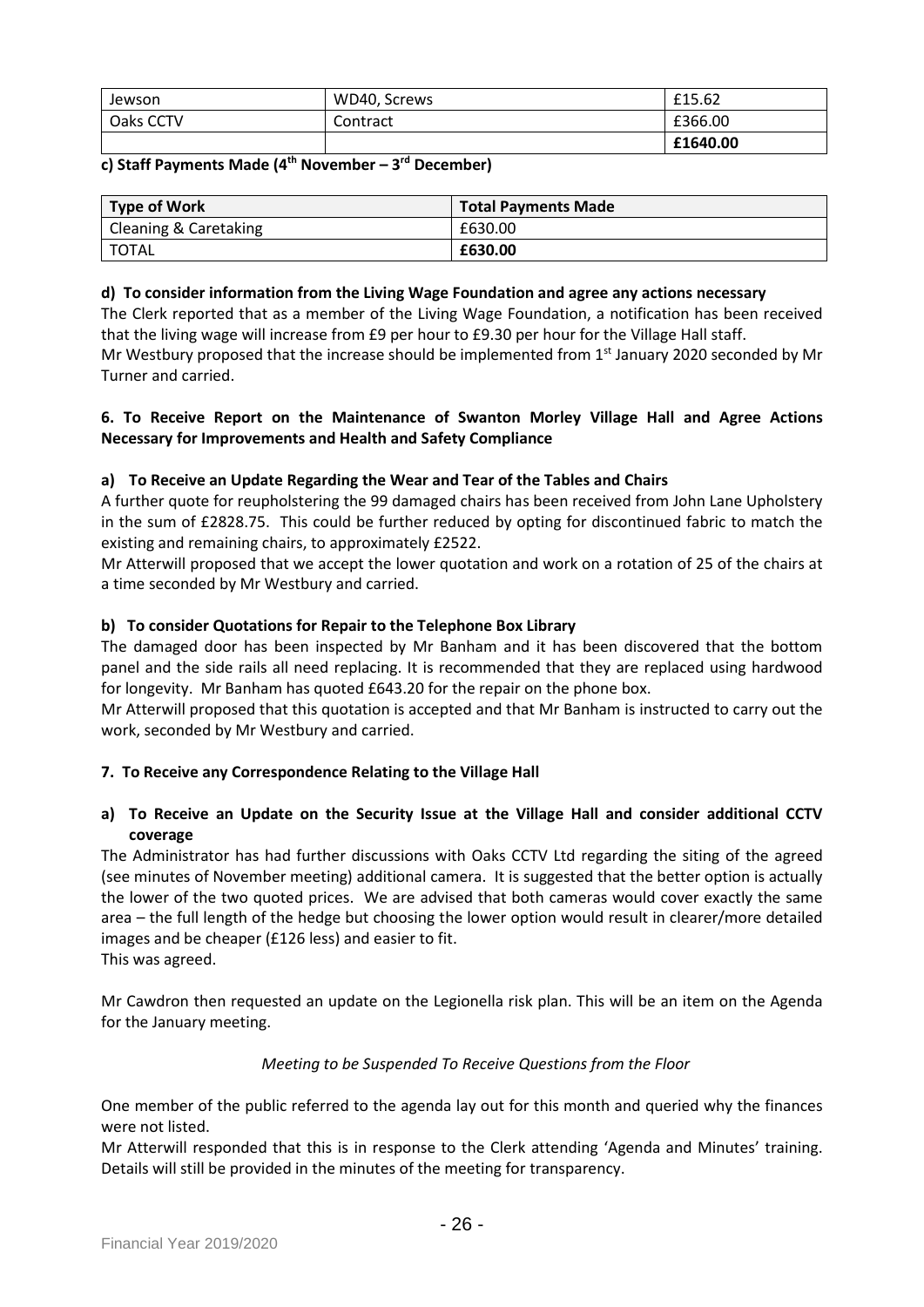| Jewson    | WD40, Screws | £15.62   |
|-----------|--------------|----------|
| Oaks CCTV | Contract     | £366.00  |
|           |              | £1640.00 |

# **c) Staff Payments Made (4 th November – 3 rd December)**

| Type of Work          | <b>Total Payments Made</b> |
|-----------------------|----------------------------|
| Cleaning & Caretaking | £630.00                    |
| <b>TOTAL</b>          | £630.00                    |

### **d) To consider information from the Living Wage Foundation and agree any actions necessary**

The Clerk reported that as a member of the Living Wage Foundation, a notification has been received that the living wage will increase from £9 per hour to £9.30 per hour for the Village Hall staff. Mr Westbury proposed that the increase should be implemented from 1<sup>st</sup> January 2020 seconded by Mr Turner and carried.

### **6. To Receive Report on the Maintenance of Swanton Morley Village Hall and Agree Actions Necessary for Improvements and Health and Safety Compliance**

# **a) To Receive an Update Regarding the Wear and Tear of the Tables and Chairs**

A further quote for reupholstering the 99 damaged chairs has been received from John Lane Upholstery in the sum of £2828.75. This could be further reduced by opting for discontinued fabric to match the existing and remaining chairs, to approximately £2522.

Mr Atterwill proposed that we accept the lower quotation and work on a rotation of 25 of the chairs at a time seconded by Mr Westbury and carried.

# **b) To consider Quotations for Repair to the Telephone Box Library**

The damaged door has been inspected by Mr Banham and it has been discovered that the bottom panel and the side rails all need replacing. It is recommended that they are replaced using hardwood for longevity. Mr Banham has quoted £643.20 for the repair on the phone box.

Mr Atterwill proposed that this quotation is accepted and that Mr Banham is instructed to carry out the work, seconded by Mr Westbury and carried.

# **7. To Receive any Correspondence Relating to the Village Hall**

# **a) To Receive an Update on the Security Issue at the Village Hall and consider additional CCTV coverage**

The Administrator has had further discussions with Oaks CCTV Ltd regarding the siting of the agreed (see minutes of November meeting) additional camera. It is suggested that the better option is actually the lower of the two quoted prices. We are advised that both cameras would cover exactly the same area – the full length of the hedge but choosing the lower option would result in clearer/more detailed images and be cheaper (£126 less) and easier to fit. This was agreed.

Mr Cawdron then requested an update on the Legionella risk plan. This will be an item on the Agenda for the January meeting.

#### *Meeting to be Suspended To Receive Questions from the Floor*

One member of the public referred to the agenda lay out for this month and queried why the finances were not listed.

Mr Atterwill responded that this is in response to the Clerk attending 'Agenda and Minutes' training. Details will still be provided in the minutes of the meeting for transparency.